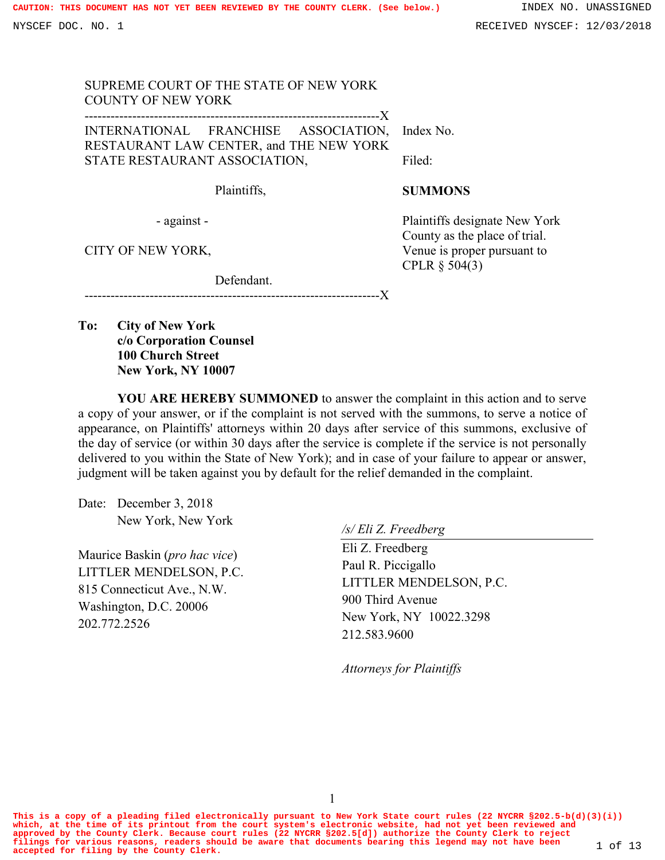| SUPREME COURT OF THE STATE OF NEW YORK<br><b>COUNTY OF NEW YORK</b>             |                                                                |
|---------------------------------------------------------------------------------|----------------------------------------------------------------|
| INTERNATIONAL FRANCHISE ASSOCIATION,<br>RESTAURANT LAW CENTER, and THE NEW YORK | Index No.                                                      |
| STATE RESTAURANT ASSOCIATION,                                                   | Filed:                                                         |
| Plaintiffs,                                                                     | <b>SUMMONS</b>                                                 |
| - against -                                                                     | Plaintiffs designate New York<br>County as the place of trial. |
| CITY OF NEW YORK,                                                               | Venue is proper pursuant to<br>CPLR $\S$ 504(3)                |

--------------------------------X

Defendant.

**To: City of New York c/o Corporation Counsel 100 Church Street New York, NY 10007**

**YOU ARE HEREBY SUMMONED** to answer the complaint in this action and to serve a copy of your answer, or if the complaint is not served with the summons, to serve a notice of appearance, on Plaintiffs' attorneys within 20 days after service of this summons, exclusive of the day of service (or within 30 days after the service is complete if the service is not personally delivered to you within the State of New York); and in case of your failure to appear or answer, judgment will be taken against you by default for the relief demanded in the complaint.

Date: December 3, 2018 New York, New York

Maurice Baskin (*pro hac vice*) LITTLER MENDELSON, P.C. 815 Connecticut Ave., N.W. Washington, D.C. 20006 202.772.2526

*/s/ Eli Z. Freedberg*

Eli Z. Freedberg Paul R. Piccigallo LITTLER MENDELSON, P.C. 900 Third Avenue New York, NY 10022.3298 212.583.9600

*Attorneys for Plaintiffs*

**This is a copy of a pleading filed electronically pursuant to New York State court rules (22 NYCRR §202.5-b(d)(3)(i)) which, at the time of its printout from the court system's electronic website, had not yet been reviewed and** approved by the County Clerk. Because court rules (22 NYCRR §202.5[d]) authorize the County Clerk to reject<br>filings for various reasons, readers should be aware that documents bearing this legend may not have been  $1$  of 1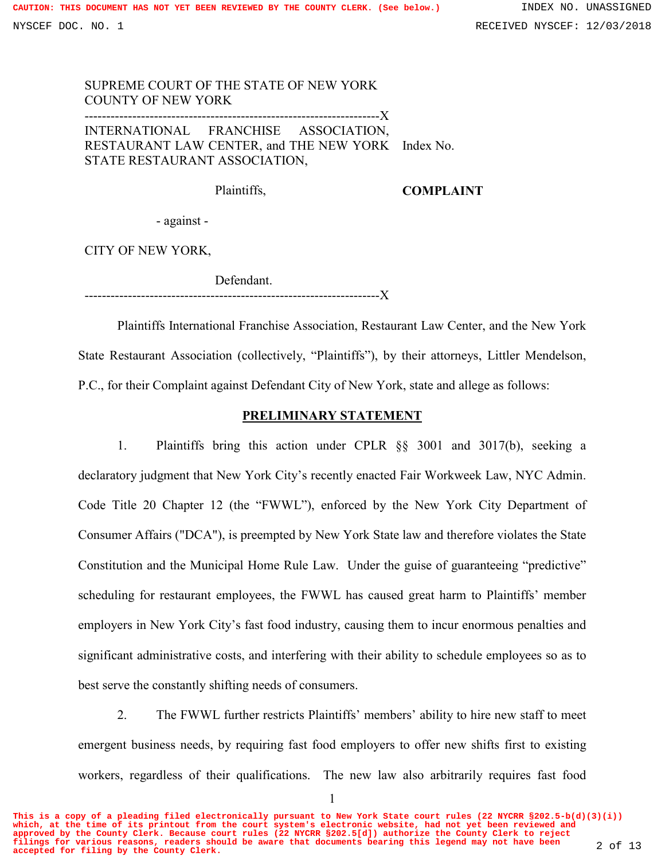## SUPREME COURT OF THE STATE OF NEW YORK COUNTY OF NEW YORK --------------------------------------------------------------------X INTERNATIONAL FRANCHISE ASSOCIATION, RESTAURANT LAW CENTER, and THE NEW YORK Index No. STATE RESTAURANT ASSOCIATION,

Plaintiffs,

### **COMPLAINT**

- against -

CITY OF NEW YORK,

 Defendant. --------------------------------------------------------------------X

Plaintiffs International Franchise Association, Restaurant Law Center, and the New York State Restaurant Association (collectively, "Plaintiffs"), by their attorneys, Littler Mendelson, P.C., for their Complaint against Defendant City of New York, state and allege as follows:

### **PRELIMINARY STATEMENT**

1. Plaintiffs bring this action under CPLR §§ 3001 and 3017(b), seeking a declaratory judgment that New York City's recently enacted Fair Workweek Law, NYC Admin. Code Title 20 Chapter 12 (the "FWWL"), enforced by the New York City Department of Consumer Affairs ("DCA"), is preempted by New York State law and therefore violates the State Constitution and the Municipal Home Rule Law. Under the guise of guaranteeing "predictive" scheduling for restaurant employees, the FWWL has caused great harm to Plaintiffs' member employers in New York City's fast food industry, causing them to incur enormous penalties and significant administrative costs, and interfering with their ability to schedule employees so as to best serve the constantly shifting needs of consumers.

2. The FWWL further restricts Plaintiffs' members' ability to hire new staff to meet emergent business needs, by requiring fast food employers to offer new shifts first to existing workers, regardless of their qualifications. The new law also arbitrarily requires fast food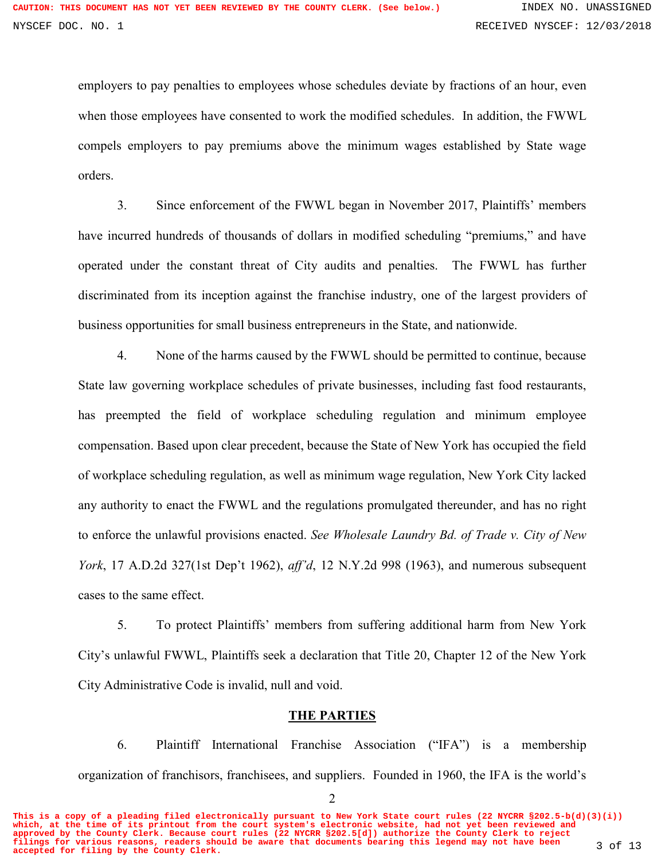employers to pay penalties to employees whose schedules deviate by fractions of an hour, even when those employees have consented to work the modified schedules. In addition, the FWWL compels employers to pay premiums above the minimum wages established by State wage orders.

3. Since enforcement of the FWWL began in November 2017, Plaintiffs' members have incurred hundreds of thousands of dollars in modified scheduling "premiums," and have operated under the constant threat of City audits and penalties. The FWWL has further discriminated from its inception against the franchise industry, one of the largest providers of business opportunities for small business entrepreneurs in the State, and nationwide.

4. None of the harms caused by the FWWL should be permitted to continue, because State law governing workplace schedules of private businesses, including fast food restaurants, has preempted the field of workplace scheduling regulation and minimum employee compensation. Based upon clear precedent, because the State of New York has occupied the field of workplace scheduling regulation, as well as minimum wage regulation, New York City lacked any authority to enact the FWWL and the regulations promulgated thereunder, and has no right to enforce the unlawful provisions enacted. *See Wholesale Laundry Bd. of Trade v. City of New York*, 17 A.D.2d 327(1st Dep't 1962), *aff'd*, 12 N.Y.2d 998 (1963), and numerous subsequent cases to the same effect.

5. To protect Plaintiffs' members from suffering additional harm from New York City's unlawful FWWL, Plaintiffs seek a declaration that Title 20, Chapter 12 of the New York City Administrative Code is invalid, null and void.

### **THE PARTIES**

6. Plaintiff International Franchise Association ("IFA") is a membership organization of franchisors, franchisees, and suppliers. Founded in 1960, the IFA is the world's

**This is a copy of a pleading filed electronically pursuant to New York State court rules (22 NYCRR §202.5-b(d)(3)(i)) which, at the time of its printout from the court system's electronic website, had not yet been reviewed and approved by the County Clerk. Because court rules (22 NYCRR §202.5[d]) authorize the County Clerk to reject filings for various reasons, readers should be aware that documents bearing this legend may not have been accepted for filing by the County Clerk.** 3 of 13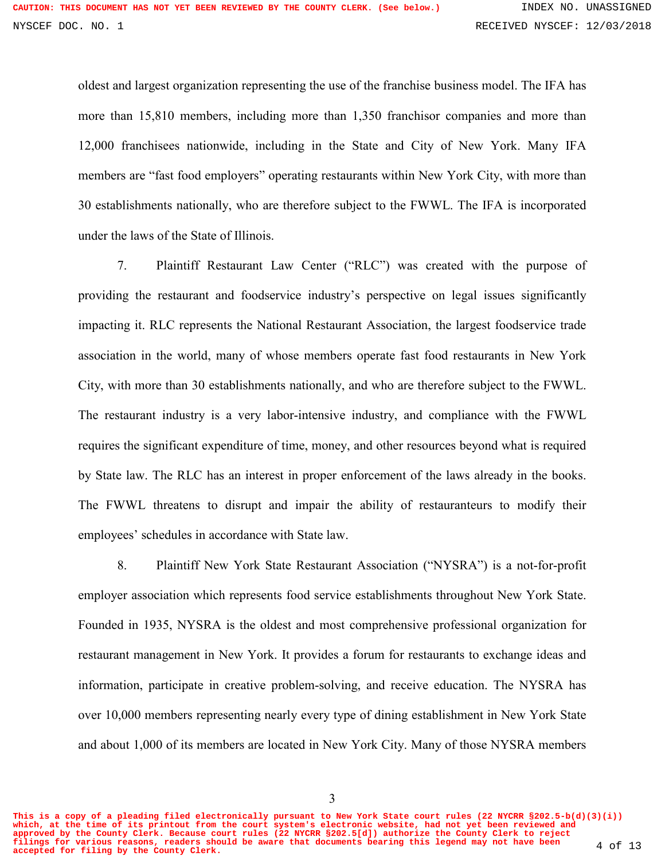oldest and largest organization representing the use of the franchise business model. The IFA has more than 15,810 members, including more than 1,350 franchisor companies and more than 12,000 franchisees nationwide, including in the State and City of New York. Many IFA members are "fast food employers" operating restaurants within New York City, with more than 30 establishments nationally, who are therefore subject to the FWWL. The IFA is incorporated under the laws of the State of Illinois.

7. Plaintiff Restaurant Law Center ("RLC") was created with the purpose of providing the restaurant and foodservice industry's perspective on legal issues significantly impacting it. RLC represents the National Restaurant Association, the largest foodservice trade association in the world, many of whose members operate fast food restaurants in New York City, with more than 30 establishments nationally, and who are therefore subject to the FWWL. The restaurant industry is a very labor-intensive industry, and compliance with the FWWL requires the significant expenditure of time, money, and other resources beyond what is required by State law. The RLC has an interest in proper enforcement of the laws already in the books. The FWWL threatens to disrupt and impair the ability of restauranteurs to modify their employees' schedules in accordance with State law.

8. Plaintiff New York State Restaurant Association ("NYSRA") is a not-for-profit employer association which represents food service establishments throughout New York State. Founded in 1935, NYSRA is the oldest and most comprehensive professional organization for restaurant management in New York. It provides a forum for restaurants to exchange ideas and information, participate in creative problem-solving, and receive education. The NYSRA has over 10,000 members representing nearly every type of dining establishment in New York State and about 1,000 of its members are located in New York City. Many of those NYSRA members

**This is a copy of a pleading filed electronically pursuant to New York State court rules (22 NYCRR §202.5-b(d)(3)(i)) which, at the time of its printout from the court system's electronic website, had not yet been reviewed and approved by the County Clerk. Because court rules (22 NYCRR §202.5[d]) authorize the County Clerk to reject filings for various reasons, readers should be aware that documents bearing this legend may not have been accepted for filing by the County Clerk.** 4 of 13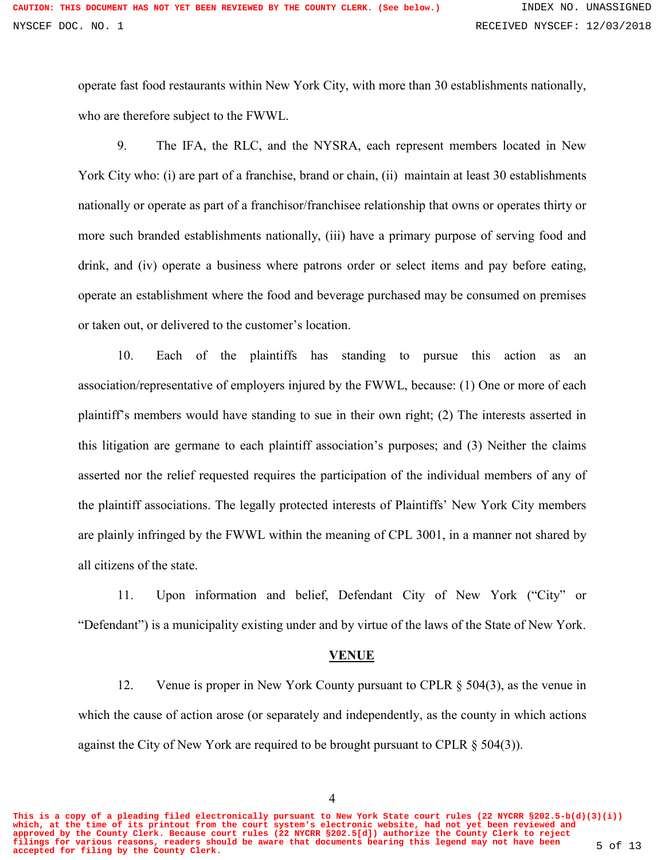operate fast food restaurants within New York City, with more than 30 establishments nationally, who are therefore subject to the FWWL.

9. The IFA, the RLC, and the NYSRA, each represent members located in New York City who: (i) are part of a franchise, brand or chain, (ii) maintain at least 30 establishments nationally or operate as part of a franchisor/franchisee relationship that owns or operates thirty or more such branded establishments nationally, (iii) have a primary purpose of serving food and drink, and (iv) operate a business where patrons order or select items and pay before eating, operate an establishment where the food and beverage purchased may be consumed on premises or taken out, or delivered to the customer's location.

10. Each of the plaintiffs has standing to pursue this action as an association/representative of employers injured by the FWWL, because: (1) One or more of each plaintiff's members would have standing to sue in their own right; (2) The interests asserted in this litigation are germane to each plaintiff association's purposes; and (3) Neither the claims asserted nor the relief requested requires the participation of the individual members of any of the plaintiff associations. The legally protected interests of Plaintiffs' New York City members are plainly infringed by the FWWL within the meaning of CPL 3001, in a manner not shared by all citizens of the state.

11. Upon information and belief, Defendant City of New York ("City" or "Defendant") is a municipality existing under and by virtue of the laws of the State of New York.

#### **VENUE**

12. Venue is proper in New York County pursuant to CPLR § 504(3), as the venue in which the cause of action arose (or separately and independently, as the county in which actions against the City of New York are required to be brought pursuant to CPLR § 504(3)).

4

**This is a copy of a pleading filed electronically pursuant to New York State court rules (22 NYCRR §202.5-b(d)(3)(i)) which, at the time of its printout from the court system's electronic website, had not yet been reviewed and approved by the County Clerk. Because court rules (22 NYCRR §202.5[d]) authorize the County Clerk to reject filings for various reasons, readers should be aware that documents bearing this legend may not have been accepted for filing by the County Clerk.** 5 of 13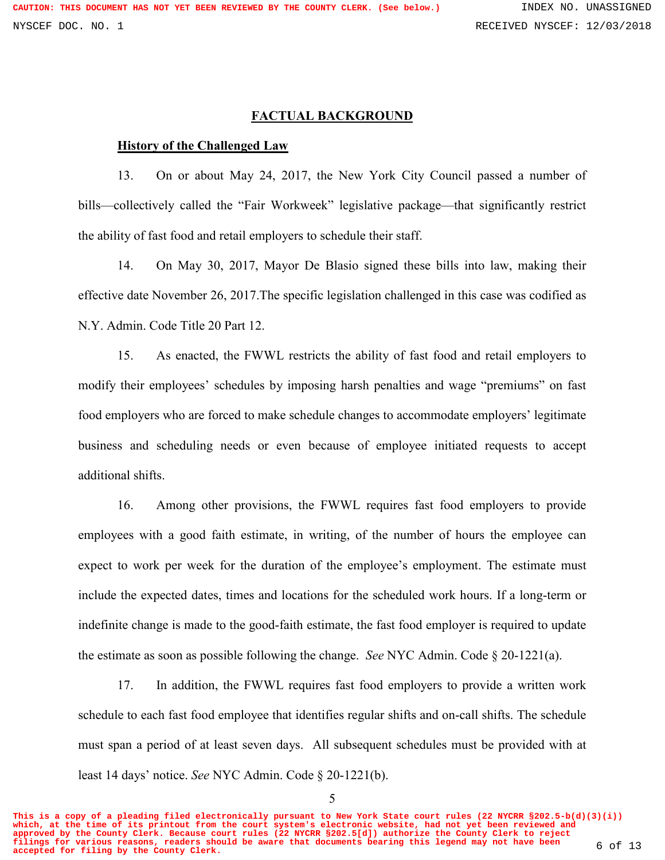### **FACTUAL BACKGROUND**

# **History of the Challenged Law**

13. On or about May 24, 2017, the New York City Council passed a number of bills—collectively called the "Fair Workweek" legislative package—that significantly restrict the ability of fast food and retail employers to schedule their staff.

14. On May 30, 2017, Mayor De Blasio signed these bills into law, making their effective date November 26, 2017.The specific legislation challenged in this case was codified as N.Y. Admin. Code Title 20 Part 12.

15. As enacted, the FWWL restricts the ability of fast food and retail employers to modify their employees' schedules by imposing harsh penalties and wage "premiums" on fast food employers who are forced to make schedule changes to accommodate employers' legitimate business and scheduling needs or even because of employee initiated requests to accept additional shifts.

16. Among other provisions, the FWWL requires fast food employers to provide employees with a good faith estimate, in writing, of the number of hours the employee can expect to work per week for the duration of the employee's employment. The estimate must include the expected dates, times and locations for the scheduled work hours. If a long-term or indefinite change is made to the good-faith estimate, the fast food employer is required to update the estimate as soon as possible following the change. *See* NYC Admin. Code § 20-1221(a).

17. In addition, the FWWL requires fast food employers to provide a written work schedule to each fast food employee that identifies regular shifts and on-call shifts. The schedule must span a period of at least seven days. All subsequent schedules must be provided with at least 14 days' notice. *See* NYC Admin. Code § 20-1221(b).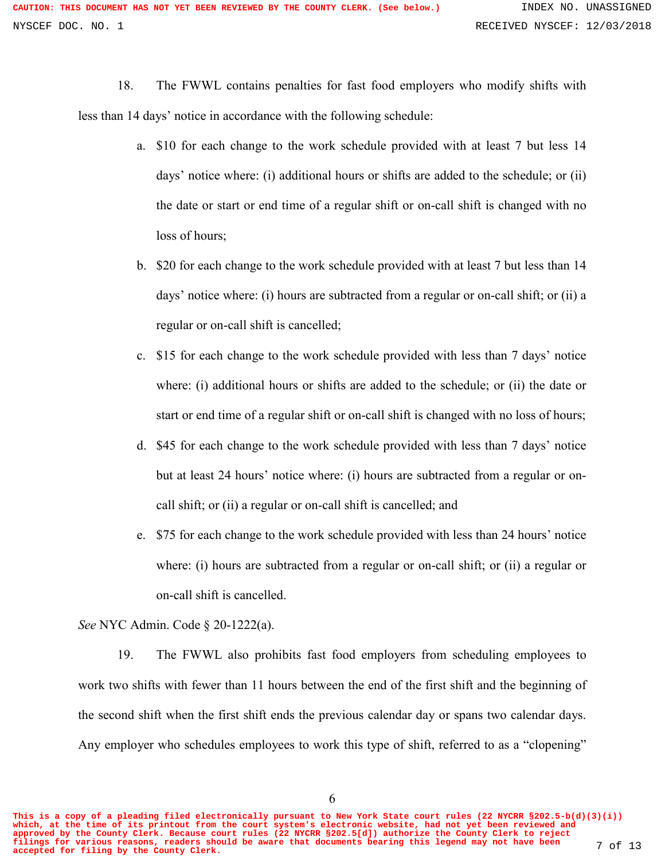18. The FWWL contains penalties for fast food employers who modify shifts with less than 14 days' notice in accordance with the following schedule:

- a. \$10 for each change to the work schedule provided with at least 7 but less 14 days' notice where: (i) additional hours or shifts are added to the schedule; or (ii) the date or start or end time of a regular shift or on-call shift is changed with no loss of hours;
- b. \$20 for each change to the work schedule provided with at least 7 but less than 14 days' notice where: (i) hours are subtracted from a regular or on-call shift; or (ii) a regular or on-call shift is cancelled;
- c. \$15 for each change to the work schedule provided with less than 7 days' notice where: (i) additional hours or shifts are added to the schedule; or (ii) the date or start or end time of a regular shift or on-call shift is changed with no loss of hours;
- d. \$45 for each change to the work schedule provided with less than 7 days' notice but at least 24 hours' notice where: (i) hours are subtracted from a regular or oncall shift; or (ii) a regular or on-call shift is cancelled; and
- e. \$75 for each change to the work schedule provided with less than 24 hours' notice where: (i) hours are subtracted from a regular or on-call shift; or (ii) a regular or on-call shift is cancelled.

*See* NYC Admin. Code § 20-1222(a).

19. The FWWL also prohibits fast food employers from scheduling employees to work two shifts with fewer than 11 hours between the end of the first shift and the beginning of the second shift when the first shift ends the previous calendar day or spans two calendar days. Any employer who schedules employees to work this type of shift, referred to as a "clopening"

**This is a copy of a pleading filed electronically pursuant to New York State court rules (22 NYCRR §202.5-b(d)(3)(i)) which, at the time of its printout from the court system's electronic website, had not yet been reviewed and approved by the County Clerk. Because court rules (22 NYCRR §202.5[d]) authorize the County Clerk to reject filings for various reasons, readers should be aware that documents bearing this legend may not have been accepted for filing by the County Clerk.** 7 of 13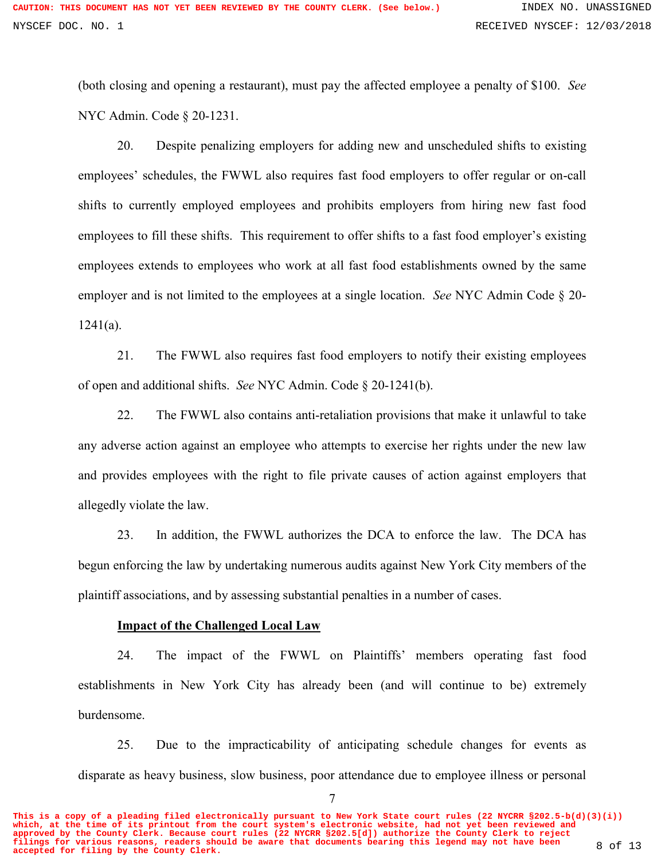(both closing and opening a restaurant), must pay the affected employee a penalty of \$100. *See* NYC Admin. Code § 20-1231.

20. Despite penalizing employers for adding new and unscheduled shifts to existing employees' schedules, the FWWL also requires fast food employers to offer regular or on-call shifts to currently employed employees and prohibits employers from hiring new fast food employees to fill these shifts. This requirement to offer shifts to a fast food employer's existing employees extends to employees who work at all fast food establishments owned by the same employer and is not limited to the employees at a single location. *See* NYC Admin Code § 20-  $1241(a)$ .

21. The FWWL also requires fast food employers to notify their existing employees of open and additional shifts. *See* NYC Admin. Code § 20-1241(b).

22. The FWWL also contains anti-retaliation provisions that make it unlawful to take any adverse action against an employee who attempts to exercise her rights under the new law and provides employees with the right to file private causes of action against employers that allegedly violate the law.

23. In addition, the FWWL authorizes the DCA to enforce the law. The DCA has begun enforcing the law by undertaking numerous audits against New York City members of the plaintiff associations, and by assessing substantial penalties in a number of cases.

### **Impact of the Challenged Local Law**

24. The impact of the FWWL on Plaintiffs' members operating fast food establishments in New York City has already been (and will continue to be) extremely burdensome.

25. Due to the impracticability of anticipating schedule changes for events as disparate as heavy business, slow business, poor attendance due to employee illness or personal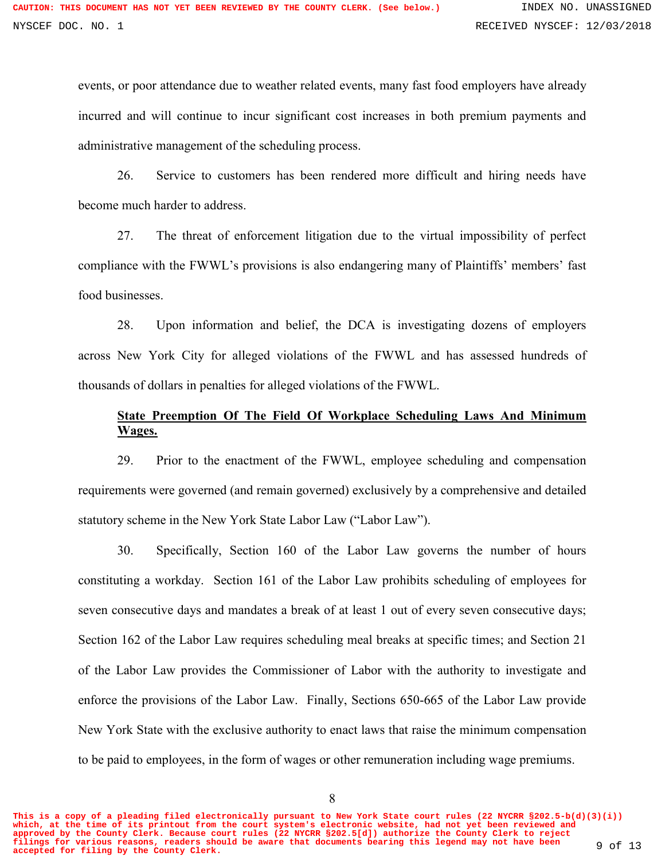events, or poor attendance due to weather related events, many fast food employers have already incurred and will continue to incur significant cost increases in both premium payments and administrative management of the scheduling process.

26. Service to customers has been rendered more difficult and hiring needs have become much harder to address.

27. The threat of enforcement litigation due to the virtual impossibility of perfect compliance with the FWWL's provisions is also endangering many of Plaintiffs' members' fast food businesses.

28. Upon information and belief, the DCA is investigating dozens of employers across New York City for alleged violations of the FWWL and has assessed hundreds of thousands of dollars in penalties for alleged violations of the FWWL.

# **State Preemption Of The Field Of Workplace Scheduling Laws And Minimum Wages.**

29. Prior to the enactment of the FWWL, employee scheduling and compensation requirements were governed (and remain governed) exclusively by a comprehensive and detailed statutory scheme in the New York State Labor Law ("Labor Law").

30. Specifically, Section 160 of the Labor Law governs the number of hours constituting a workday. Section 161 of the Labor Law prohibits scheduling of employees for seven consecutive days and mandates a break of at least 1 out of every seven consecutive days; Section 162 of the Labor Law requires scheduling meal breaks at specific times; and Section 21 of the Labor Law provides the Commissioner of Labor with the authority to investigate and enforce the provisions of the Labor Law. Finally, Sections 650-665 of the Labor Law provide New York State with the exclusive authority to enact laws that raise the minimum compensation to be paid to employees, in the form of wages or other remuneration including wage premiums.

8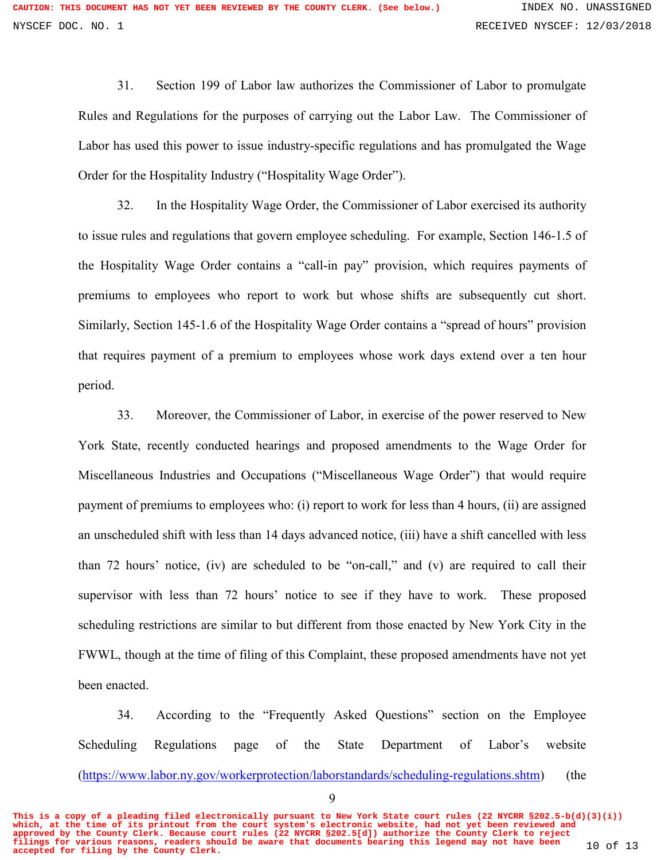31. Section 199 of Labor law authorizes the Commissioner of Labor to promulgate Rules and Regulations for the purposes of carrying out the Labor Law. The Commissioner of Labor has used this power to issue industry-specific regulations and has promulgated the Wage Order for the Hospitality Industry ("Hospitality Wage Order").

32. In the Hospitality Wage Order, the Commissioner of Labor exercised its authority to issue rules and regulations that govern employee scheduling. For example, Section 146-1.5 of the Hospitality Wage Order contains a "call-in pay" provision, which requires payments of premiums to employees who report to work but whose shifts are subsequently cut short. Similarly, Section 145-1.6 of the Hospitality Wage Order contains a "spread of hours" provision that requires payment of a premium to employees whose work days extend over a ten hour period.

33. Moreover, the Commissioner of Labor, in exercise of the power reserved to New York State, recently conducted hearings and proposed amendments to the Wage Order for Miscellaneous Industries and Occupations ("Miscellaneous Wage Order") that would require payment of premiums to employees who: (i) report to work for less than 4 hours, (ii) are assigned an unscheduled shift with less than 14 days advanced notice, (iii) have a shift cancelled with less than 72 hours' notice, (iv) are scheduled to be "on-call," and (v) are required to call their supervisor with less than 72 hours' notice to see if they have to work. These proposed scheduling restrictions are similar to but different from those enacted by New York City in the FWWL, though at the time of filing of this Complaint, these proposed amendments have not yet been enacted.

34. According to the "Frequently Asked Questions" section on the Employee Scheduling Regulations page of the State Department of Labor's website (https://www.labor.ny.gov/workerprotection/laborstandards/scheduling-regulations.shtm) (the

**This is a copy of a pleading filed electronically pursuant to New York State court rules (22 NYCRR §202.5-b(d)(3)(i)) which, at the time of its printout from the court system's electronic website, had not yet been reviewed and approved by the County Clerk. Because court rules (22 NYCRR §202.5[d]) authorize the County Clerk to reject filings for various reasons, readers should be aware that documents bearing this legend may not have been accepted for filing by the County Clerk.** 10 of 13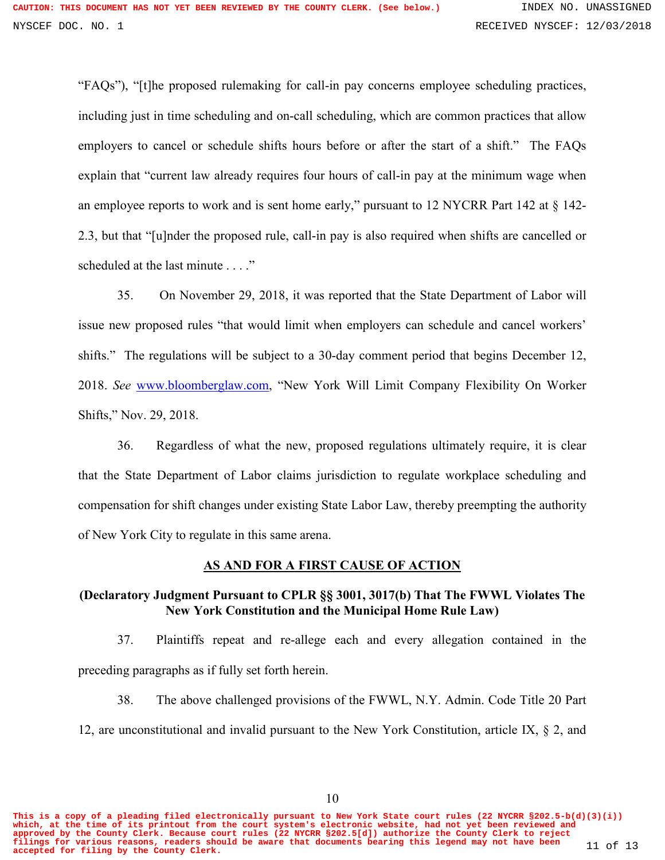"FAQs"), "[t]he proposed rulemaking for call-in pay concerns employee scheduling practices, including just in time scheduling and on-call scheduling, which are common practices that allow employers to cancel or schedule shifts hours before or after the start of a shift." The FAQs explain that "current law already requires four hours of call-in pay at the minimum wage when an employee reports to work and is sent home early," pursuant to 12 NYCRR Part 142 at § 142- 2.3, but that "[u]nder the proposed rule, call-in pay is also required when shifts are cancelled or scheduled at the last minute . . . ."

35. On November 29, 2018, it was reported that the State Department of Labor will issue new proposed rules "that would limit when employers can schedule and cancel workers' shifts." The regulations will be subject to a 30-day comment period that begins December 12, 2018. *See* www.bloomberglaw.com, "New York Will Limit Company Flexibility On Worker Shifts," Nov. 29, 2018.

36. Regardless of what the new, proposed regulations ultimately require, it is clear that the State Department of Labor claims jurisdiction to regulate workplace scheduling and compensation for shift changes under existing State Labor Law, thereby preempting the authority of New York City to regulate in this same arena.

### **AS AND FOR A FIRST CAUSE OF ACTION**

### **(Declaratory Judgment Pursuant to CPLR §§ 3001, 3017(b) That The FWWL Violates The New York Constitution and the Municipal Home Rule Law)**

37. Plaintiffs repeat and re-allege each and every allegation contained in the preceding paragraphs as if fully set forth herein.

38. The above challenged provisions of the FWWL, N.Y. Admin. Code Title 20 Part 12, are unconstitutional and invalid pursuant to the New York Constitution, article IX, § 2, and

10

**This is a copy of a pleading filed electronically pursuant to New York State court rules (22 NYCRR §202.5-b(d)(3)(i)) which, at the time of its printout from the court system's electronic website, had not yet been reviewed and approved by the County Clerk. Because court rules (22 NYCRR §202.5[d]) authorize the County Clerk to reject filings for various reasons, readers should be aware that documents bearing this legend may not have been accepted for filing by the County Clerk.** 11 of 13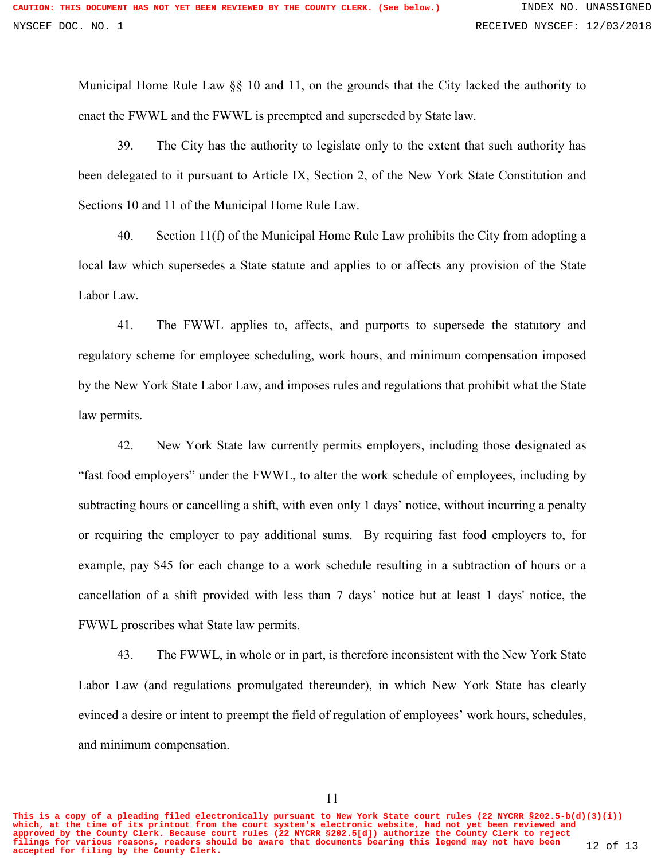Municipal Home Rule Law §§ 10 and 11, on the grounds that the City lacked the authority to enact the FWWL and the FWWL is preempted and superseded by State law.

39. The City has the authority to legislate only to the extent that such authority has been delegated to it pursuant to Article IX, Section 2, of the New York State Constitution and Sections 10 and 11 of the Municipal Home Rule Law.

40. Section 11(f) of the Municipal Home Rule Law prohibits the City from adopting a local law which supersedes a State statute and applies to or affects any provision of the State Labor Law.

41. The FWWL applies to, affects, and purports to supersede the statutory and regulatory scheme for employee scheduling, work hours, and minimum compensation imposed by the New York State Labor Law, and imposes rules and regulations that prohibit what the State law permits.

42. New York State law currently permits employers, including those designated as "fast food employers" under the FWWL, to alter the work schedule of employees, including by subtracting hours or cancelling a shift, with even only 1 days' notice, without incurring a penalty or requiring the employer to pay additional sums. By requiring fast food employers to, for example, pay \$45 for each change to a work schedule resulting in a subtraction of hours or a cancellation of a shift provided with less than 7 days' notice but at least 1 days' notice, the FWWL proscribes what State law permits.

43. The FWWL, in whole or in part, is therefore inconsistent with the New York State Labor Law (and regulations promulgated thereunder), in which New York State has clearly evinced a desire or intent to preempt the field of regulation of employees' work hours, schedules, and minimum compensation.

**This is a copy of a pleading filed electronically pursuant to New York State court rules (22 NYCRR §202.5-b(d)(3)(i)) which, at the time of its printout from the court system's electronic website, had not yet been reviewed and approved by the County Clerk. Because court rules (22 NYCRR §202.5[d]) authorize the County Clerk to reject filings for various reasons, readers should be aware that documents bearing this legend may not have been accepted for filing by the County Clerk.** 12 of 13